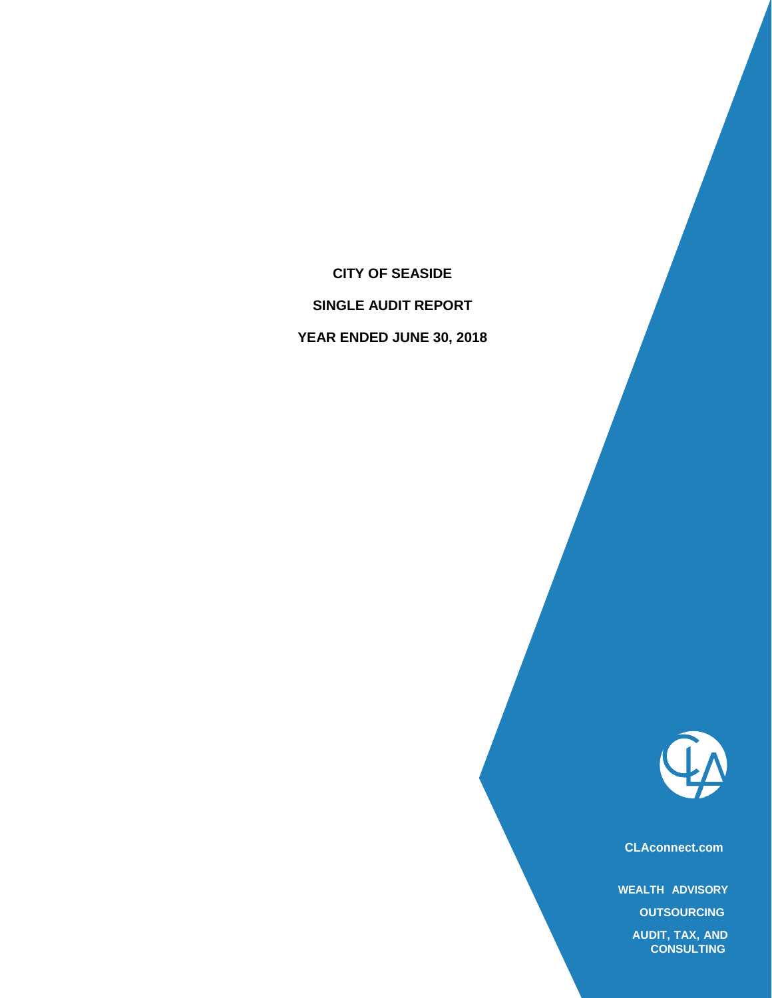**CITY OF SEASIDE SINGLE AUDIT REPORT YEAR ENDED JUNE 30, 2018**



**CLAconnect.com**

**WEALTH ADVISORY** 

**OUTSOURCING**

**AUDIT, TAX, AND CONSULTING**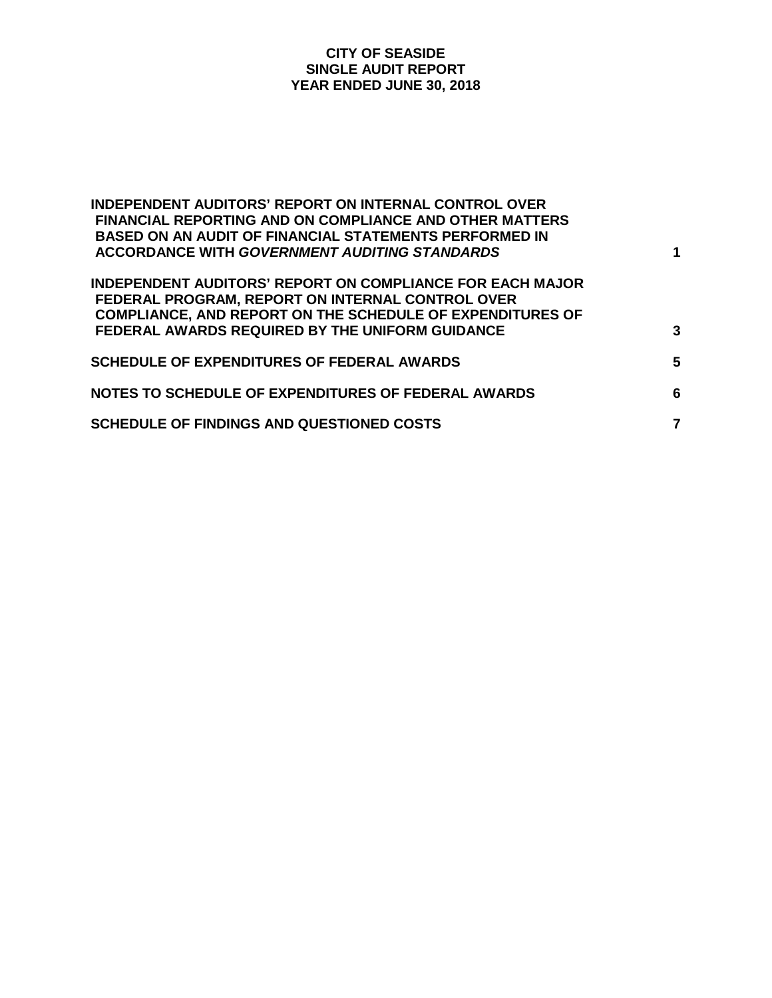# **CITY OF SEASIDE SINGLE AUDIT REPORT YEAR ENDED JUNE 30, 2018**

| <b>INDEPENDENT AUDITORS' REPORT ON INTERNAL CONTROL OVER</b><br><b>FINANCIAL REPORTING AND ON COMPLIANCE AND OTHER MATTERS</b><br><b>BASED ON AN AUDIT OF FINANCIAL STATEMENTS PERFORMED IN</b><br><b>ACCORDANCE WITH GOVERNMENT AUDITING STANDARDS</b> | 1 |
|---------------------------------------------------------------------------------------------------------------------------------------------------------------------------------------------------------------------------------------------------------|---|
| <b>INDEPENDENT AUDITORS' REPORT ON COMPLIANCE FOR EACH MAJOR</b><br>FEDERAL PROGRAM, REPORT ON INTERNAL CONTROL OVER<br><b>COMPLIANCE, AND REPORT ON THE SCHEDULE OF EXPENDITURES OF</b><br>FEDERAL AWARDS REQUIRED BY THE UNIFORM GUIDANCE             | 3 |
| <b>SCHEDULE OF EXPENDITURES OF FEDERAL AWARDS</b>                                                                                                                                                                                                       | 5 |
| NOTES TO SCHEDULE OF EXPENDITURES OF FEDERAL AWARDS                                                                                                                                                                                                     | 6 |
| <b>SCHEDULE OF FINDINGS AND QUESTIONED COSTS</b>                                                                                                                                                                                                        |   |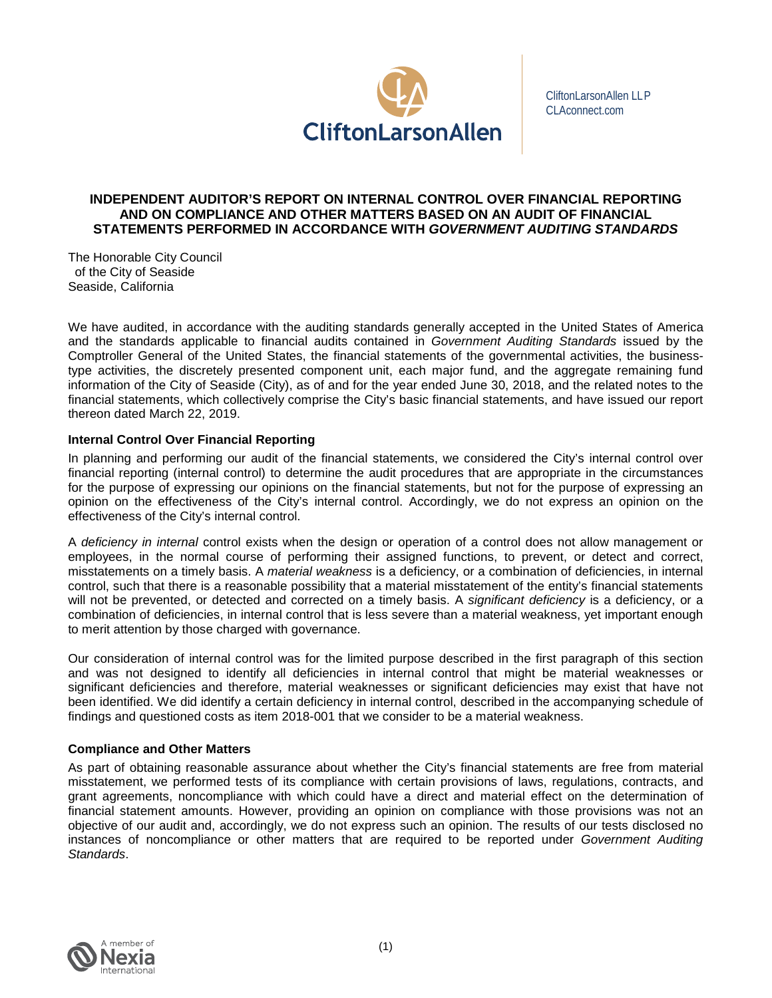

CliftonLarsonAllen LLP CLAconnect.com

### **INDEPENDENT AUDITOR'S REPORT ON INTERNAL CONTROL OVER FINANCIAL REPORTING AND ON COMPLIANCE AND OTHER MATTERS BASED ON AN AUDIT OF FINANCIAL STATEMENTS PERFORMED IN ACCORDANCE WITH** *GOVERNMENT AUDITING STANDARDS*

The Honorable City Council of the City of Seaside Seaside, California

We have audited, in accordance with the auditing standards generally accepted in the United States of America and the standards applicable to financial audits contained in *Government Auditing Standards* issued by the Comptroller General of the United States, the financial statements of the governmental activities, the businesstype activities, the discretely presented component unit, each major fund, and the aggregate remaining fund information of the City of Seaside (City), as of and for the year ended June 30, 2018, and the related notes to the financial statements, which collectively comprise the City's basic financial statements, and have issued our report thereon dated March 22, 2019.

## **Internal Control Over Financial Reporting**

In planning and performing our audit of the financial statements, we considered the City's internal control over financial reporting (internal control) to determine the audit procedures that are appropriate in the circumstances for the purpose of expressing our opinions on the financial statements, but not for the purpose of expressing an opinion on the effectiveness of the City's internal control. Accordingly, we do not express an opinion on the effectiveness of the City's internal control.

A *deficiency in internal* control exists when the design or operation of a control does not allow management or employees, in the normal course of performing their assigned functions, to prevent, or detect and correct, misstatements on a timely basis. A *material weakness* is a deficiency, or a combination of deficiencies, in internal control, such that there is a reasonable possibility that a material misstatement of the entity's financial statements will not be prevented, or detected and corrected on a timely basis. A *significant deficiency* is a deficiency, or a combination of deficiencies, in internal control that is less severe than a material weakness, yet important enough to merit attention by those charged with governance.

Our consideration of internal control was for the limited purpose described in the first paragraph of this section and was not designed to identify all deficiencies in internal control that might be material weaknesses or significant deficiencies and therefore, material weaknesses or significant deficiencies may exist that have not been identified. We did identify a certain deficiency in internal control, described in the accompanying schedule of findings and questioned costs as item 2018-001 that we consider to be a material weakness.

#### **Compliance and Other Matters**

As part of obtaining reasonable assurance about whether the City's financial statements are free from material misstatement, we performed tests of its compliance with certain provisions of laws, regulations, contracts, and grant agreements, noncompliance with which could have a direct and material effect on the determination of financial statement amounts. However, providing an opinion on compliance with those provisions was not an objective of our audit and, accordingly, we do not express such an opinion. The results of our tests disclosed no instances of noncompliance or other matters that are required to be reported under *Government Auditing Standards*.

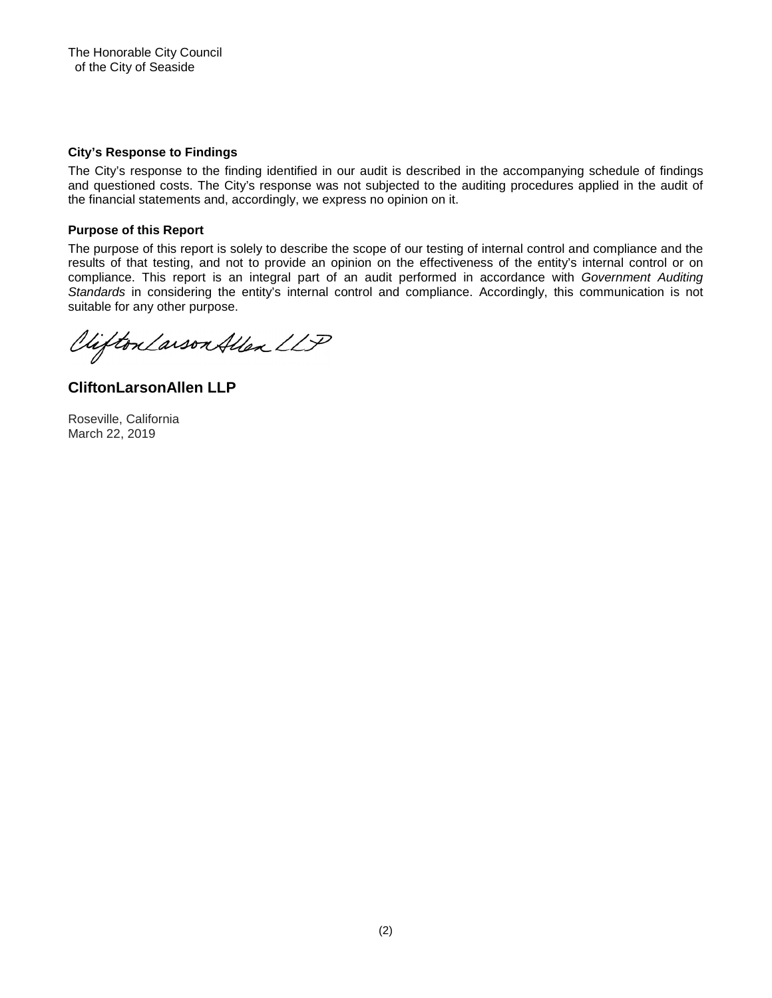#### **City's Response to Findings**

The City's response to the finding identified in our audit is described in the accompanying schedule of findings and questioned costs. The City's response was not subjected to the auditing procedures applied in the audit of the financial statements and, accordingly, we express no opinion on it.

#### **Purpose of this Report**

The purpose of this report is solely to describe the scope of our testing of internal control and compliance and the results of that testing, and not to provide an opinion on the effectiveness of the entity's internal control or on compliance. This report is an integral part of an audit performed in accordance with *Government Auditing Standards* in considering the entity's internal control and compliance. Accordingly, this communication is not suitable for any other purpose.

Clifton Larson Allen LLP

**CliftonLarsonAllen LLP**

Roseville, California March 22, 2019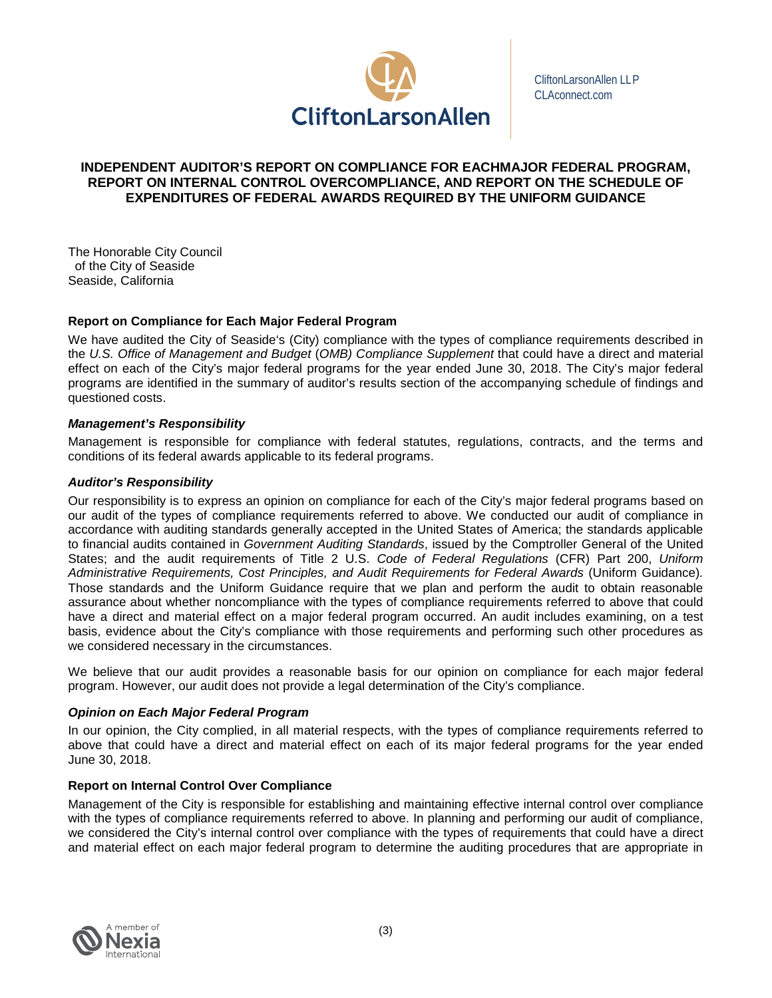

### **INDEPENDENT AUDITOR'S REPORT ON COMPLIANCE FOR EACHMAJOR FEDERAL PROGRAM, REPORT ON INTERNAL CONTROL OVERCOMPLIANCE, AND REPORT ON THE SCHEDULE OF EXPENDITURES OF FEDERAL AWARDS REQUIRED BY THE UNIFORM GUIDANCE**

The Honorable City Council of the City of Seaside Seaside, California

#### **Report on Compliance for Each Major Federal Program**

We have audited the City of Seaside's (City) compliance with the types of compliance requirements described in the *U.S. Office of Management and Budget* (*OMB) Compliance Supplement* that could have a direct and material effect on each of the City's major federal programs for the year ended June 30, 2018. The City's major federal programs are identified in the summary of auditor's results section of the accompanying schedule of findings and questioned costs.

#### *Management's Responsibility*

Management is responsible for compliance with federal statutes, regulations, contracts, and the terms and conditions of its federal awards applicable to its federal programs.

#### *Auditor's Responsibility*

Our responsibility is to express an opinion on compliance for each of the City's major federal programs based on our audit of the types of compliance requirements referred to above. We conducted our audit of compliance in accordance with auditing standards generally accepted in the United States of America; the standards applicable to financial audits contained in *Government Auditing Standards*, issued by the Comptroller General of the United States; and the audit requirements of Title 2 U.S. *Code of Federal Regulations* (CFR) Part 200, *Uniform Administrative Requirements, Cost Principles, and Audit Requirements for Federal Awards* (Uniform Guidance)*.* Those standards and the Uniform Guidance require that we plan and perform the audit to obtain reasonable assurance about whether noncompliance with the types of compliance requirements referred to above that could have a direct and material effect on a major federal program occurred. An audit includes examining, on a test basis, evidence about the City's compliance with those requirements and performing such other procedures as we considered necessary in the circumstances.

We believe that our audit provides a reasonable basis for our opinion on compliance for each major federal program. However, our audit does not provide a legal determination of the City's compliance.

#### *Opinion on Each Major Federal Program*

In our opinion, the City complied, in all material respects, with the types of compliance requirements referred to above that could have a direct and material effect on each of its major federal programs for the year ended June 30, 2018.

#### **Report on Internal Control Over Compliance**

Management of the City is responsible for establishing and maintaining effective internal control over compliance with the types of compliance requirements referred to above. In planning and performing our audit of compliance, we considered the City's internal control over compliance with the types of requirements that could have a direct and material effect on each major federal program to determine the auditing procedures that are appropriate in

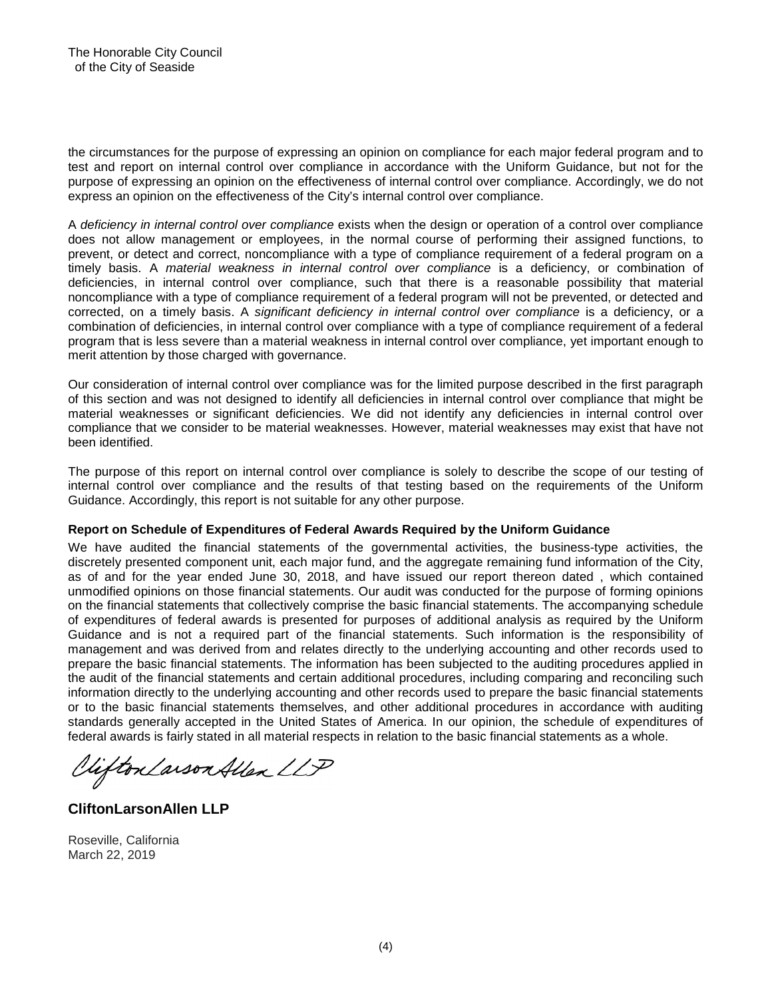the circumstances for the purpose of expressing an opinion on compliance for each major federal program and to test and report on internal control over compliance in accordance with the Uniform Guidance, but not for the purpose of expressing an opinion on the effectiveness of internal control over compliance. Accordingly, we do not express an opinion on the effectiveness of the City's internal control over compliance.

A *deficiency in internal control over compliance* exists when the design or operation of a control over compliance does not allow management or employees, in the normal course of performing their assigned functions, to prevent, or detect and correct, noncompliance with a type of compliance requirement of a federal program on a timely basis. A *material weakness in internal control over compliance* is a deficiency, or combination of deficiencies, in internal control over compliance, such that there is a reasonable possibility that material noncompliance with a type of compliance requirement of a federal program will not be prevented, or detected and corrected, on a timely basis. A *significant deficiency in internal control over compliance* is a deficiency, or a combination of deficiencies, in internal control over compliance with a type of compliance requirement of a federal program that is less severe than a material weakness in internal control over compliance, yet important enough to merit attention by those charged with governance.

Our consideration of internal control over compliance was for the limited purpose described in the first paragraph of this section and was not designed to identify all deficiencies in internal control over compliance that might be material weaknesses or significant deficiencies. We did not identify any deficiencies in internal control over compliance that we consider to be material weaknesses. However, material weaknesses may exist that have not been identified.

The purpose of this report on internal control over compliance is solely to describe the scope of our testing of internal control over compliance and the results of that testing based on the requirements of the Uniform Guidance. Accordingly, this report is not suitable for any other purpose.

#### **Report on Schedule of Expenditures of Federal Awards Required by the Uniform Guidance**

We have audited the financial statements of the governmental activities, the business-type activities, the discretely presented component unit, each major fund, and the aggregate remaining fund information of the City, as of and for the year ended June 30, 2018, and have issued our report thereon dated , which contained unmodified opinions on those financial statements. Our audit was conducted for the purpose of forming opinions on the financial statements that collectively comprise the basic financial statements. The accompanying schedule of expenditures of federal awards is presented for purposes of additional analysis as required by the Uniform Guidance and is not a required part of the financial statements. Such information is the responsibility of management and was derived from and relates directly to the underlying accounting and other records used to prepare the basic financial statements. The information has been subjected to the auditing procedures applied in the audit of the financial statements and certain additional procedures, including comparing and reconciling such information directly to the underlying accounting and other records used to prepare the basic financial statements or to the basic financial statements themselves, and other additional procedures in accordance with auditing standards generally accepted in the United States of America. In our opinion, the schedule of expenditures of federal awards is fairly stated in all material respects in relation to the basic financial statements as a whole.

Clifton Larson Allen LLP

**CliftonLarsonAllen LLP**

Roseville, California March 22, 2019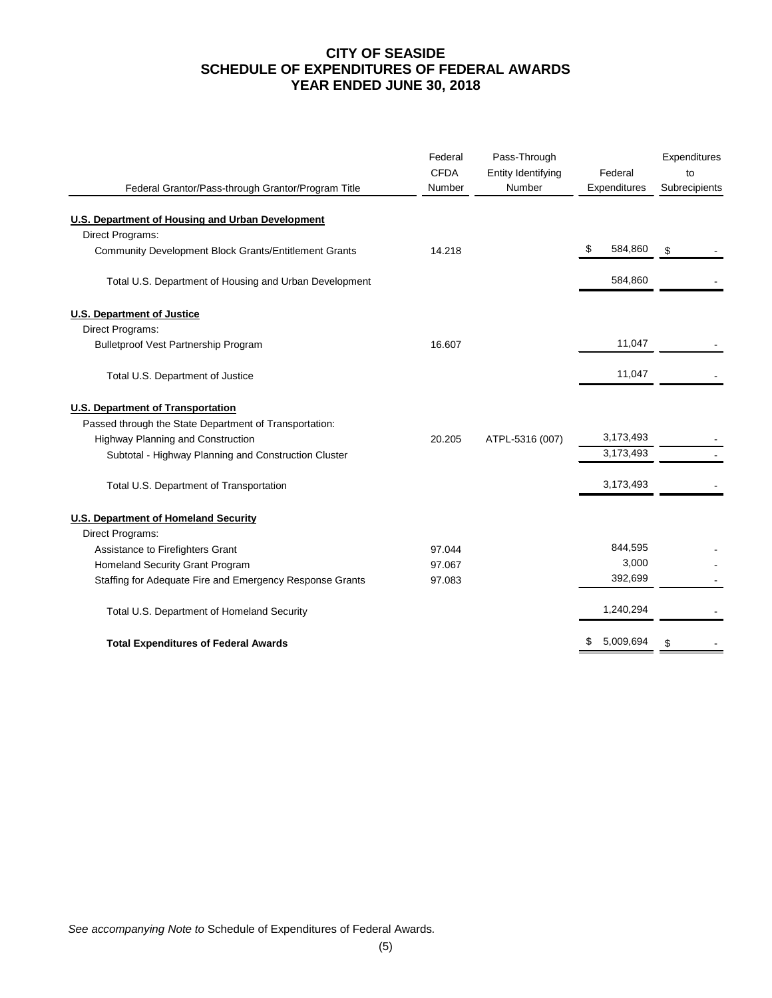# **CITY OF SEASIDE SCHEDULE OF EXPENDITURES OF FEDERAL AWARDS YEAR ENDED JUNE 30, 2018**

|                                                              | Federal<br><b>CFDA</b> | Pass-Through<br><b>Entity Identifying</b> | Federal<br>Expenditures |           | Expenditures<br>to<br>Subrecipients |
|--------------------------------------------------------------|------------------------|-------------------------------------------|-------------------------|-----------|-------------------------------------|
| Federal Grantor/Pass-through Grantor/Program Title           | Number                 | Number                                    |                         |           |                                     |
| U.S. Department of Housing and Urban Development             |                        |                                           |                         |           |                                     |
| Direct Programs:                                             |                        |                                           |                         |           |                                     |
| <b>Community Development Block Grants/Entitlement Grants</b> | 14.218                 |                                           | \$                      | 584,860   | \$                                  |
| Total U.S. Department of Housing and Urban Development       |                        |                                           |                         | 584,860   |                                     |
| <b>U.S. Department of Justice</b>                            |                        |                                           |                         |           |                                     |
| Direct Programs:                                             |                        |                                           |                         |           |                                     |
| <b>Bulletproof Vest Partnership Program</b>                  | 16.607                 |                                           |                         | 11,047    |                                     |
| Total U.S. Department of Justice                             |                        |                                           |                         | 11,047    |                                     |
| <b>U.S. Department of Transportation</b>                     |                        |                                           |                         |           |                                     |
| Passed through the State Department of Transportation:       |                        |                                           |                         |           |                                     |
| Highway Planning and Construction                            | 20.205                 | ATPL-5316 (007)                           |                         | 3,173,493 |                                     |
| Subtotal - Highway Planning and Construction Cluster         |                        |                                           |                         | 3,173,493 |                                     |
| Total U.S. Department of Transportation                      |                        |                                           |                         | 3,173,493 |                                     |
| <b>U.S. Department of Homeland Security</b>                  |                        |                                           |                         |           |                                     |
| Direct Programs:                                             |                        |                                           |                         |           |                                     |
| Assistance to Firefighters Grant                             | 97.044                 |                                           |                         | 844,595   |                                     |
| Homeland Security Grant Program                              | 97.067                 |                                           |                         | 3,000     |                                     |
| Staffing for Adequate Fire and Emergency Response Grants     | 97.083                 |                                           |                         | 392,699   |                                     |
| Total U.S. Department of Homeland Security                   |                        |                                           |                         | 1,240,294 |                                     |
| <b>Total Expenditures of Federal Awards</b>                  |                        |                                           |                         | 5,009,694 | \$                                  |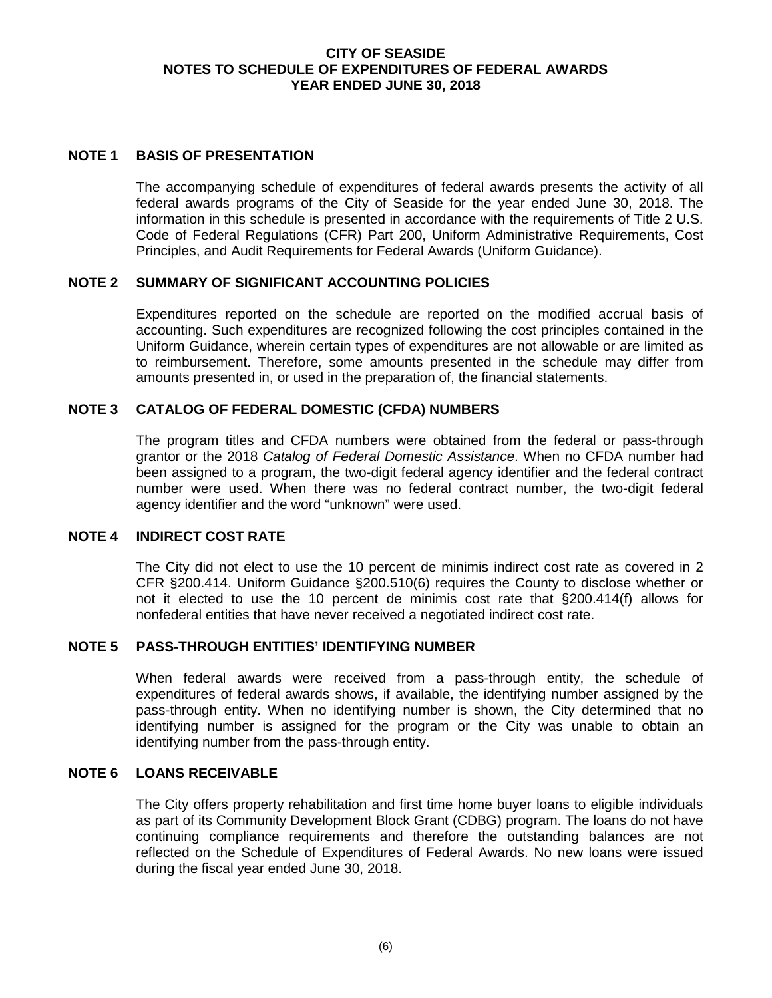## **CITY OF SEASIDE NOTES TO SCHEDULE OF EXPENDITURES OF FEDERAL AWARDS YEAR ENDED JUNE 30, 2018**

## **NOTE 1 BASIS OF PRESENTATION**

The accompanying schedule of expenditures of federal awards presents the activity of all federal awards programs of the City of Seaside for the year ended June 30, 2018. The information in this schedule is presented in accordance with the requirements of Title 2 U.S. Code of Federal Regulations (CFR) Part 200, Uniform Administrative Requirements, Cost Principles, and Audit Requirements for Federal Awards (Uniform Guidance).

## **NOTE 2 SUMMARY OF SIGNIFICANT ACCOUNTING POLICIES**

Expenditures reported on the schedule are reported on the modified accrual basis of accounting. Such expenditures are recognized following the cost principles contained in the Uniform Guidance, wherein certain types of expenditures are not allowable or are limited as to reimbursement. Therefore, some amounts presented in the schedule may differ from amounts presented in, or used in the preparation of, the financial statements.

## **NOTE 3 CATALOG OF FEDERAL DOMESTIC (CFDA) NUMBERS**

The program titles and CFDA numbers were obtained from the federal or pass-through grantor or the 2018 *Catalog of Federal Domestic Assistance*. When no CFDA number had been assigned to a program, the two-digit federal agency identifier and the federal contract number were used. When there was no federal contract number, the two-digit federal agency identifier and the word "unknown" were used.

## **NOTE 4 INDIRECT COST RATE**

The City did not elect to use the 10 percent de minimis indirect cost rate as covered in 2 CFR §200.414. Uniform Guidance §200.510(6) requires the County to disclose whether or not it elected to use the 10 percent de minimis cost rate that §200.414(f) allows for nonfederal entities that have never received a negotiated indirect cost rate.

## **NOTE 5 PASS-THROUGH ENTITIES' IDENTIFYING NUMBER**

When federal awards were received from a pass-through entity, the schedule of expenditures of federal awards shows, if available, the identifying number assigned by the pass-through entity. When no identifying number is shown, the City determined that no identifying number is assigned for the program or the City was unable to obtain an identifying number from the pass-through entity.

## **NOTE 6 LOANS RECEIVABLE**

The City offers property rehabilitation and first time home buyer loans to eligible individuals as part of its Community Development Block Grant (CDBG) program. The loans do not have continuing compliance requirements and therefore the outstanding balances are not reflected on the Schedule of Expenditures of Federal Awards. No new loans were issued during the fiscal year ended June 30, 2018.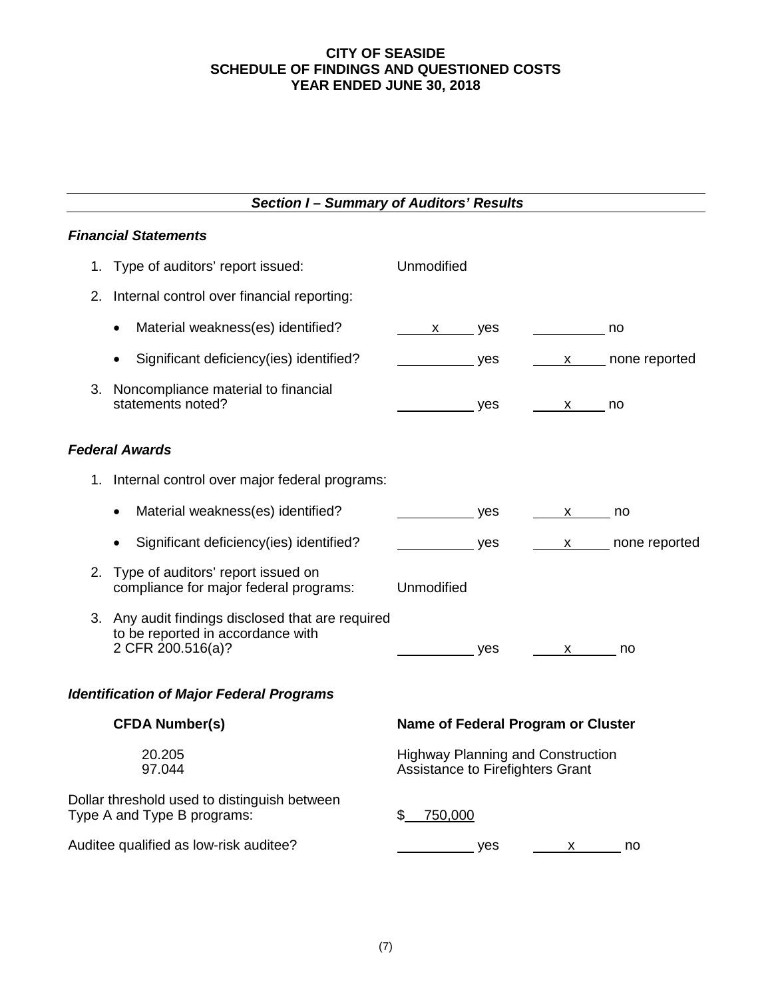# **CITY OF SEASIDE SCHEDULE OF FINDINGS AND QUESTIONED COSTS YEAR ENDED JUNE 30, 2018**

# *Section I – Summary of Auditors' Results*

# *Financial Statements*

|    | 1. Type of auditors' report issued:                                                                         | Unmodified                         |                                                                              |                                                                                                                                                                                                                                                                                                  |                       |  |  |
|----|-------------------------------------------------------------------------------------------------------------|------------------------------------|------------------------------------------------------------------------------|--------------------------------------------------------------------------------------------------------------------------------------------------------------------------------------------------------------------------------------------------------------------------------------------------|-----------------------|--|--|
| 2. | Internal control over financial reporting:                                                                  |                                    |                                                                              |                                                                                                                                                                                                                                                                                                  |                       |  |  |
|    | Material weakness(es) identified?<br>$\bullet$                                                              | $\frac{x}{1}$ yes                  |                                                                              |                                                                                                                                                                                                                                                                                                  | no                    |  |  |
|    | Significant deficiency(ies) identified?<br>$\bullet$                                                        |                                    | _ yes                                                                        |                                                                                                                                                                                                                                                                                                  | x _____ none reported |  |  |
|    | 3. Noncompliance material to financial<br>statements noted?                                                 | ________________ yes               |                                                                              | $\frac{\mathsf{x}}{\mathsf{y}}$ no                                                                                                                                                                                                                                                               |                       |  |  |
|    | <b>Federal Awards</b>                                                                                       |                                    |                                                                              |                                                                                                                                                                                                                                                                                                  |                       |  |  |
|    | 1. Internal control over major federal programs:                                                            |                                    |                                                                              |                                                                                                                                                                                                                                                                                                  |                       |  |  |
|    | Material weakness(es) identified?<br>$\bullet$                                                              |                                    | yes                                                                          | $\frac{\mathsf{x}}{\mathsf{y}}$ no                                                                                                                                                                                                                                                               |                       |  |  |
|    | Significant deficiency(ies) identified?<br>$\bullet$                                                        |                                    | yes                                                                          |                                                                                                                                                                                                                                                                                                  | x none reported       |  |  |
|    | 2. Type of auditors' report issued on<br>compliance for major federal programs:                             | Unmodified                         |                                                                              |                                                                                                                                                                                                                                                                                                  |                       |  |  |
|    | 3. Any audit findings disclosed that are required<br>to be reported in accordance with<br>2 CFR 200.516(a)? |                                    | yes                                                                          | x no                                                                                                                                                                                                                                                                                             |                       |  |  |
|    | <b>Identification of Major Federal Programs</b>                                                             |                                    |                                                                              |                                                                                                                                                                                                                                                                                                  |                       |  |  |
|    | <b>CFDA Number(s)</b>                                                                                       | Name of Federal Program or Cluster |                                                                              |                                                                                                                                                                                                                                                                                                  |                       |  |  |
|    | 20.205<br>97.044                                                                                            |                                    | <b>Highway Planning and Construction</b><br>Assistance to Firefighters Grant |                                                                                                                                                                                                                                                                                                  |                       |  |  |
|    | Dollar threshold used to distinguish between<br>Type A and Type B programs:                                 | \$<br>750,000                      |                                                                              |                                                                                                                                                                                                                                                                                                  |                       |  |  |
|    | Auditee qualified as low-risk auditee?                                                                      |                                    | yes                                                                          | $\mathsf{X}$ and $\mathsf{X}$ and $\mathsf{X}$ are $\mathsf{X}$ and $\mathsf{X}$ are $\mathsf{X}$ and $\mathsf{X}$ are $\mathsf{X}$ and $\mathsf{X}$ are $\mathsf{X}$ and $\mathsf{X}$ are $\mathsf{X}$ and $\mathsf{X}$ are $\mathsf{X}$ and $\mathsf{X}$ are $\mathsf{X}$ and $\mathsf{X}$ are | no                    |  |  |